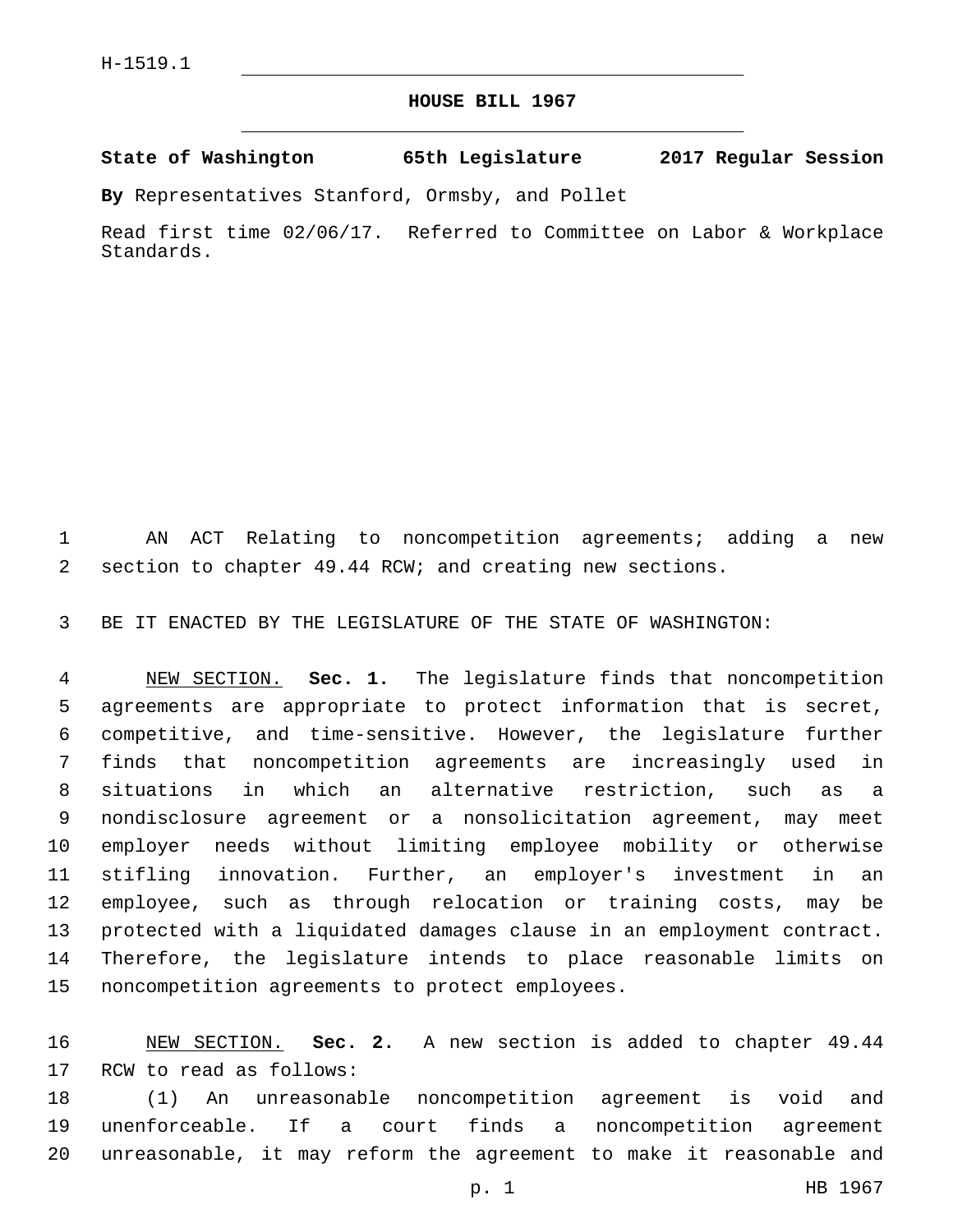## **HOUSE BILL 1967**

**State of Washington 65th Legislature 2017 Regular Session**

**By** Representatives Stanford, Ormsby, and Pollet

Read first time 02/06/17. Referred to Committee on Labor & Workplace Standards.

 AN ACT Relating to noncompetition agreements; adding a new section to chapter 49.44 RCW; and creating new sections.

BE IT ENACTED BY THE LEGISLATURE OF THE STATE OF WASHINGTON:

 NEW SECTION. **Sec. 1.** The legislature finds that noncompetition agreements are appropriate to protect information that is secret, competitive, and time-sensitive. However, the legislature further finds that noncompetition agreements are increasingly used in situations in which an alternative restriction, such as a nondisclosure agreement or a nonsolicitation agreement, may meet employer needs without limiting employee mobility or otherwise stifling innovation. Further, an employer's investment in an employee, such as through relocation or training costs, may be protected with a liquidated damages clause in an employment contract. Therefore, the legislature intends to place reasonable limits on noncompetition agreements to protect employees.

 NEW SECTION. **Sec. 2.** A new section is added to chapter 49.44 17 RCW to read as follows:

 (1) An unreasonable noncompetition agreement is void and unenforceable. If a court finds a noncompetition agreement unreasonable, it may reform the agreement to make it reasonable and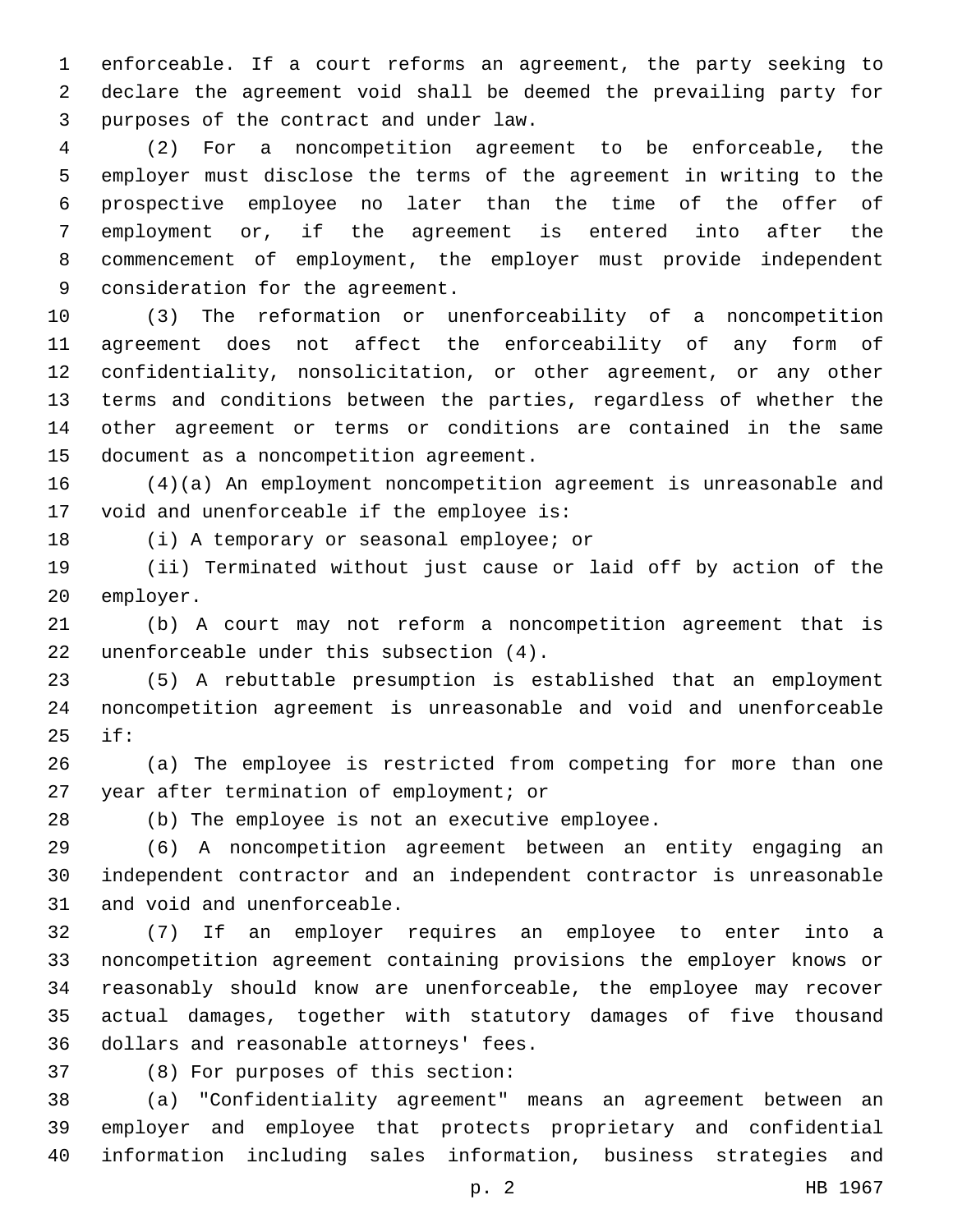enforceable. If a court reforms an agreement, the party seeking to declare the agreement void shall be deemed the prevailing party for purposes of the contract and under law.3

 (2) For a noncompetition agreement to be enforceable, the employer must disclose the terms of the agreement in writing to the prospective employee no later than the time of the offer of employment or, if the agreement is entered into after the commencement of employment, the employer must provide independent 9 consideration for the agreement.

 (3) The reformation or unenforceability of a noncompetition agreement does not affect the enforceability of any form of confidentiality, nonsolicitation, or other agreement, or any other terms and conditions between the parties, regardless of whether the other agreement or terms or conditions are contained in the same 15 document as a noncompetition agreement.

 (4)(a) An employment noncompetition agreement is unreasonable and 17 void and unenforceable if the employee is:

18 (i) A temporary or seasonal employee; or

 (ii) Terminated without just cause or laid off by action of the 20 employer.

 (b) A court may not reform a noncompetition agreement that is 22 unenforceable under this subsection  $(4)$ .

 (5) A rebuttable presumption is established that an employment noncompetition agreement is unreasonable and void and unenforceable if:25

 (a) The employee is restricted from competing for more than one 27 year after termination of employment; or

(b) The employee is not an executive employee.

 (6) A noncompetition agreement between an entity engaging an independent contractor and an independent contractor is unreasonable 31 and void and unenforceable.

 (7) If an employer requires an employee to enter into a noncompetition agreement containing provisions the employer knows or reasonably should know are unenforceable, the employee may recover actual damages, together with statutory damages of five thousand 36 dollars and reasonable attorneys' fees.

(8) For purposes of this section:37

 (a) "Confidentiality agreement" means an agreement between an employer and employee that protects proprietary and confidential information including sales information, business strategies and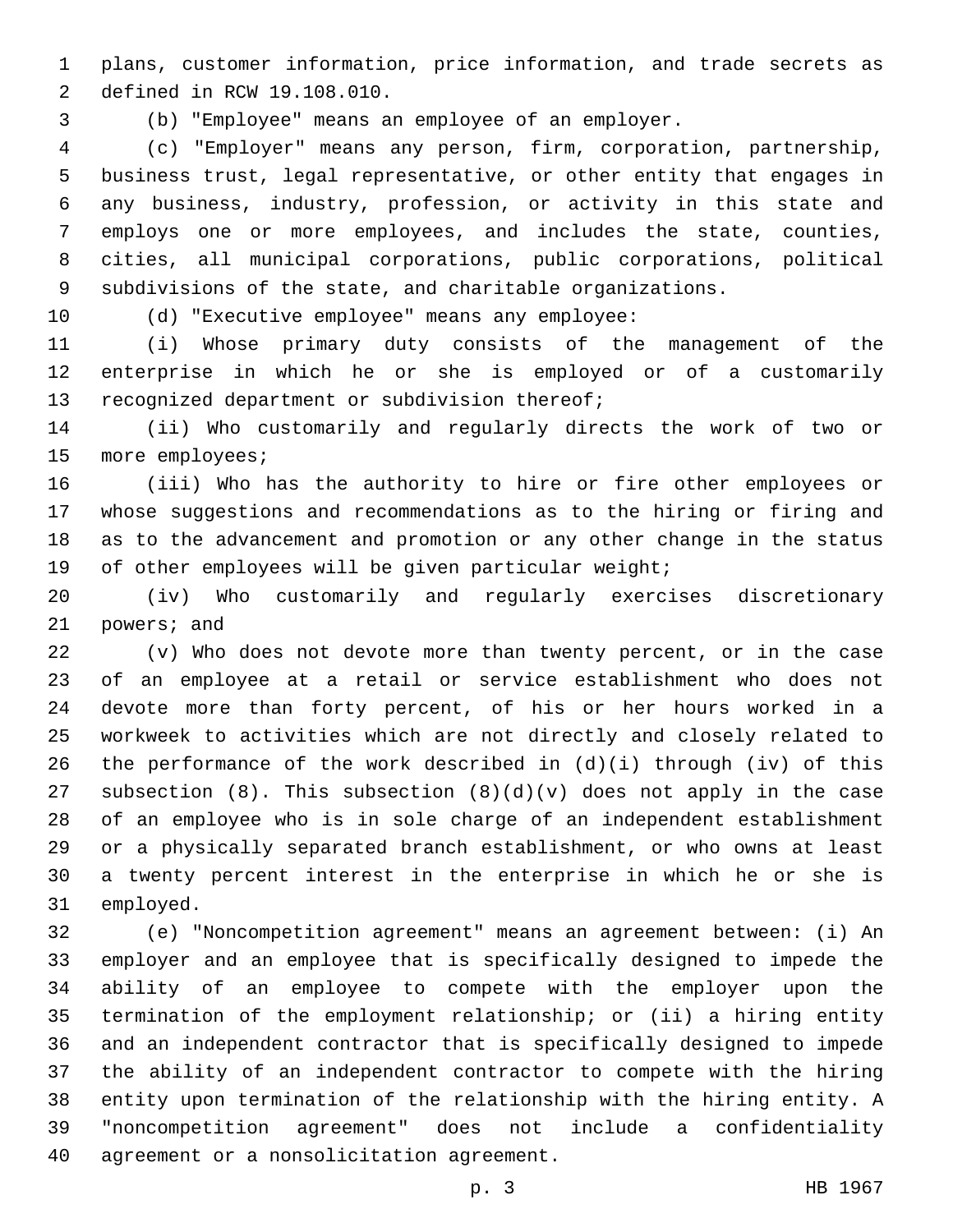plans, customer information, price information, and trade secrets as 2 defined in RCW 19.108.010.

(b) "Employee" means an employee of an employer.

 (c) "Employer" means any person, firm, corporation, partnership, business trust, legal representative, or other entity that engages in any business, industry, profession, or activity in this state and employs one or more employees, and includes the state, counties, cities, all municipal corporations, public corporations, political subdivisions of the state, and charitable organizations.

10 (d) "Executive employee" means any employee:

 (i) Whose primary duty consists of the management of the enterprise in which he or she is employed or of a customarily 13 recognized department or subdivision thereof;

 (ii) Who customarily and regularly directs the work of two or 15 more employees;

 (iii) Who has the authority to hire or fire other employees or whose suggestions and recommendations as to the hiring or firing and as to the advancement and promotion or any other change in the status 19 of other employees will be given particular weight;

 (iv) Who customarily and regularly exercises discretionary 21 powers; and

 (v) Who does not devote more than twenty percent, or in the case of an employee at a retail or service establishment who does not devote more than forty percent, of his or her hours worked in a workweek to activities which are not directly and closely related to the performance of the work described in (d)(i) through (iv) of this 27 subsection  $(8)$ . This subsection  $(8)(d)(v)$  does not apply in the case of an employee who is in sole charge of an independent establishment or a physically separated branch establishment, or who owns at least a twenty percent interest in the enterprise in which he or she is 31 employed.

 (e) "Noncompetition agreement" means an agreement between: (i) An employer and an employee that is specifically designed to impede the ability of an employee to compete with the employer upon the termination of the employment relationship; or (ii) a hiring entity and an independent contractor that is specifically designed to impede the ability of an independent contractor to compete with the hiring entity upon termination of the relationship with the hiring entity. A "noncompetition agreement" does not include a confidentiality 40 agreement or a nonsolicitation agreement.